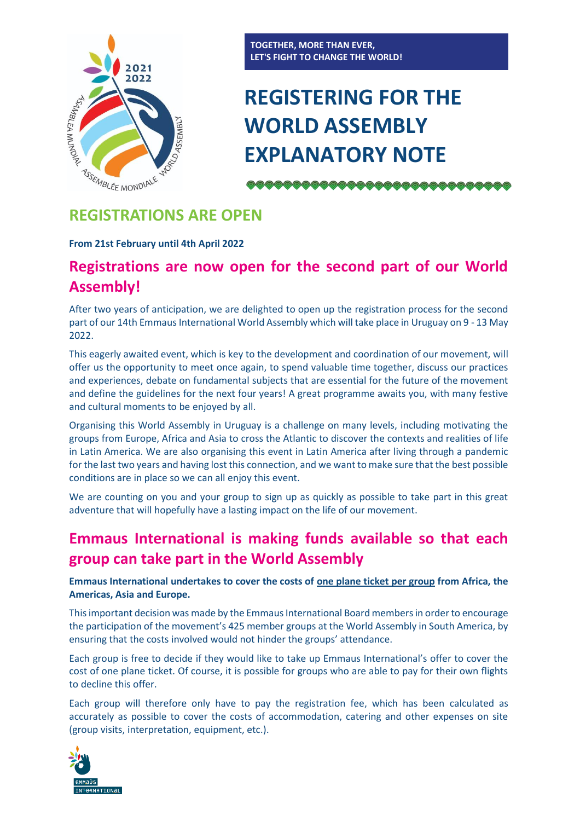

# **REGISTERING FOR THE WORLD ASSEMBLY EXPLANATORY NOTE**

# **REGISTRATIONS ARE OPEN**

**From 21st February until 4th April 2022**

### **Registrations are now open for the second part of our World Assembly!**

After two years of anticipation, we are delighted to open up the registration process for the second part of our 14th Emmaus International World Assembly which will take place in Uruguay on 9 - 13 May 2022.

This eagerly awaited event, which is key to the development and coordination of our movement, will offer us the opportunity to meet once again, to spend valuable time together, discuss our practices and experiences, debate on fundamental subjects that are essential for the future of the movement and define the guidelines for the next four years! A great programme awaits you, with many festive and cultural moments to be enjoyed by all.

Organising this World Assembly in Uruguay is a challenge on many levels, including motivating the groups from Europe, Africa and Asia to cross the Atlantic to discover the contexts and realities of life in Latin America. We are also organising this event in Latin America after living through a pandemic for the last two years and having lost this connection, and we want to make sure that the best possible conditions are in place so we can all enjoy this event.

We are counting on you and your group to sign up as quickly as possible to take part in this great adventure that will hopefully have a lasting impact on the life of our movement.

# **Emmaus International is making funds available so that each group can take part in the World Assembly**

**Emmaus International undertakes to cover the costs of one plane ticket per group from Africa, the Americas, Asia and Europe.**

This important decision was made by the Emmaus International Board members in order to encourage the participation of the movement's 425 member groups at the World Assembly in South America, by ensuring that the costs involved would not hinder the groups' attendance.

Each group is free to decide if they would like to take up Emmaus International's offer to cover the cost of one plane ticket. Of course, it is possible for groups who are able to pay for their own flights to decline this offer.

Each group will therefore only have to pay the registration fee, which has been calculated as accurately as possible to cover the costs of accommodation, catering and other expenses on site (group visits, interpretation, equipment, etc.).

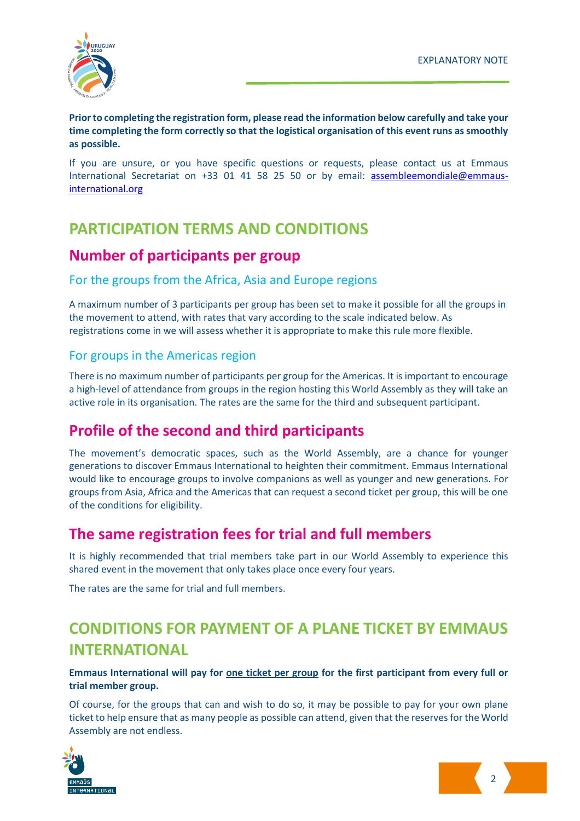

**Prior to completing the registration form, please read the information below carefully and take your time completing the form correctly so that the logistical organisation of this event runs as smoothly as possible.** 

If you are unsure, or you have specific questions or requests, please contact us at Emmaus International Secretariat on +33 01 41 58 25 50 or by email: [assembleemondiale@emmaus](mailto:assembleemondiale@emmaus-international.org)[international.org](mailto:assembleemondiale@emmaus-international.org)

# **PARTICIPATION TERMS AND CONDITIONS**

### **Number of participants per group**

### For the groups from the Africa, Asia and Europe regions

A maximum number of 3 participants per group has been set to make it possible for all the groups in the movement to attend, with rates that vary according to the scale indicated below. As registrations come in we will assess whether it is appropriate to make this rule more flexible.

### For groups in the Americas region

There is no maximum number of participants per group for the Americas. It is important to encourage a high-level of attendance from groups in the region hosting this World Assembly as they will take an active role in its organisation. The rates are the same for the third and subsequent participant.

# **Profile of the second and third participants**

The movement's democratic spaces, such as the World Assembly, are a chance for younger generations to discover Emmaus International to heighten their commitment. Emmaus International would like to encourage groups to involve companions as well as younger and new generations. For groups from Asia, Africa and the Americas that can request a second ticket per group, this will be one of the conditions for eligibility.

# **The same registration fees for trial and full members**

It is highly recommended that trial members take part in our World Assembly to experience this shared event in the movement that only takes place once every four years.

The rates are the same for trial and full members.

# **CONDITIONS FOR PAYMENT OF A PLANE TICKET BY EMMAUS INTERNATIONAL**

**Emmaus International will pay for one ticket per group for the first participant from every full or trial member group.**

Of course, for the groups that can and wish to do so, it may be possible to pay for your own plane ticket to help ensure that as many people as possible can attend, given that the reserves for the World Assembly are not endless.



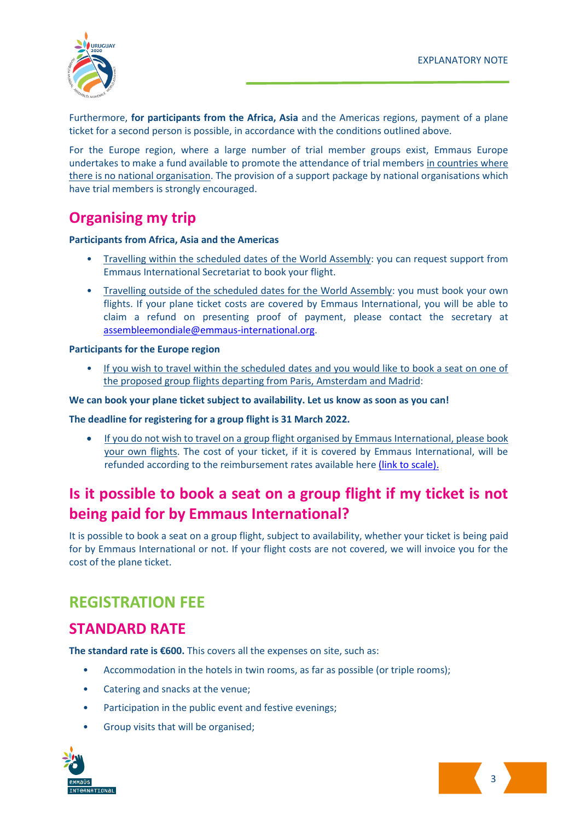

Furthermore, **for participants from the Africa, Asia** and the Americas regions, payment of a plane ticket for a second person is possible, in accordance with the conditions outlined above.

For the Europe region, where a large number of trial member groups exist, Emmaus Europe undertakes to make a fund available to promote the attendance of trial members in countries where there is no national organisation. The provision of a support package by national organisations which have trial members is strongly encouraged.

### **Organising my trip**

#### **Participants from Africa, Asia and the Americas**

- Travelling within the scheduled dates of the World Assembly: you can request support from Emmaus International Secretariat to book your flight.
- Travelling outside of the scheduled dates for the World Assembly: you must book your own flights. If your plane ticket costs are covered by Emmaus International, you will be able to claim a refund on presenting proof of payment, please contact the secretary at [assembleemondiale@emmaus-international.org.](mailto:assembleemondiale@emmaus-international.org)

#### **Participants for the Europe region**

• If you wish to travel within the scheduled dates and you would like to book a seat on one of the proposed group flights departing from Paris, Amsterdam and Madrid:

#### **We can book your plane ticket subject to availability. Let us know as soon as you can!**

#### **The deadline for registering for a group flight is 31 March 2022.**

• If you do not wish to travel on a group flight organised by Emmaus International, please book your own flights. The cost of your ticket, if it is covered by Emmaus International, will be refunded according to the reimbursement rates available here [\(link to scale\).](https://www.assemblee-mondiale-emmaus.org/_files/ugd/4df5cf_2afc2f9b5b3a4adab9fdbae35f924d65.pdf)

### **Is it possible to book a seat on a group flight if my ticket is not being paid for by Emmaus International?**

It is possible to book a seat on a group flight, subject to availability, whether your ticket is being paid for by Emmaus International or not. If your flight costs are not covered, we will invoice you for the cost of the plane ticket.

### **REGISTRATION FEE**

### **STANDARD RATE**

**The standard rate is €600.** This covers all the expenses on site, such as:

- Accommodation in the hotels in twin rooms, as far as possible (or triple rooms);
- Catering and snacks at the venue;
- Participation in the public event and festive evenings;
- Group visits that will be organised;